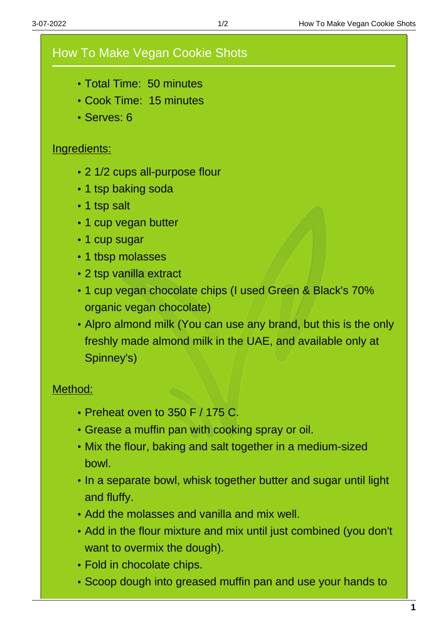## How To Make Vegan Cookie Shots

- Total Time: 50 minutes
- Cook Time: 15 minutes
- Serves: 6

## Ingredients:

- 2 1/2 cups all-purpose flour
- 1 tsp baking soda
- 1 tsp salt
- 1 cup vegan butter
- 1 cup sugar
- 1 tbsp molasses
- 2 tsp vanilla extract
- 1 cup vegan chocolate chips (I used Green & Black's 70% organic vegan chocolate)
- Alpro almond milk (You can use any brand, but this is the only freshly made almond milk in the UAE, and available only at Spinney's)

## Method:

- Preheat oven to 350 F / 175 C.
- Grease a muffin pan with cooking spray or oil.
- Mix the flour, baking and salt together in a medium-sized bowl.
- In a separate bowl, whisk together butter and sugar until light and fluffy.
- Add the molasses and vanilla and mix well.
- Add in the flour mixture and mix until just combined (you don't want to overmix the dough).
- Fold in chocolate chips.
- Scoop dough into greased muffin pan and use your hands to